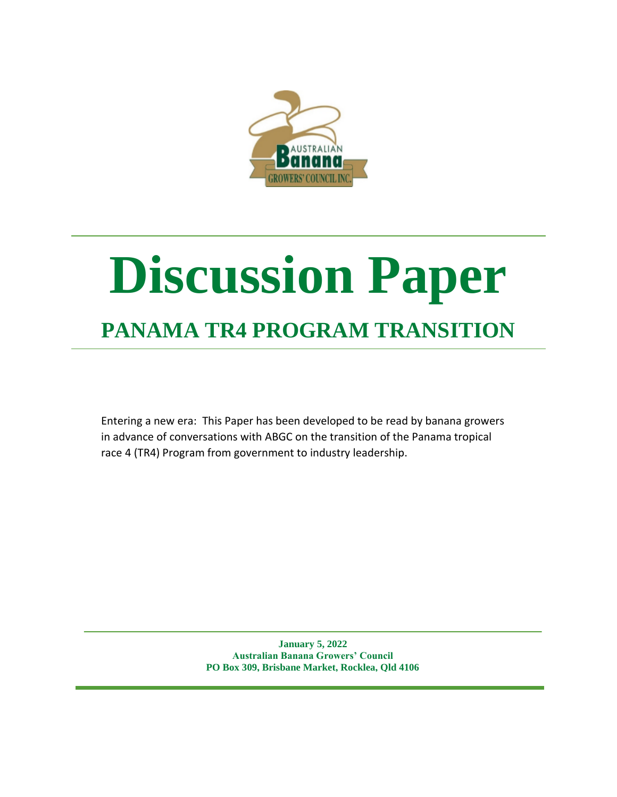

# **Discussion Paper PANAMA TR4 PROGRAM TRANSITION**

Entering a new era: This Paper has been developed to be read by banana growers in advance of conversations with ABGC on the transition of the Panama tropical race 4 (TR4) Program from government to industry leadership.

> **January 5, 2022 Australian Banana Growers' Council PO Box 309, Brisbane Market, Rocklea, Qld 4106**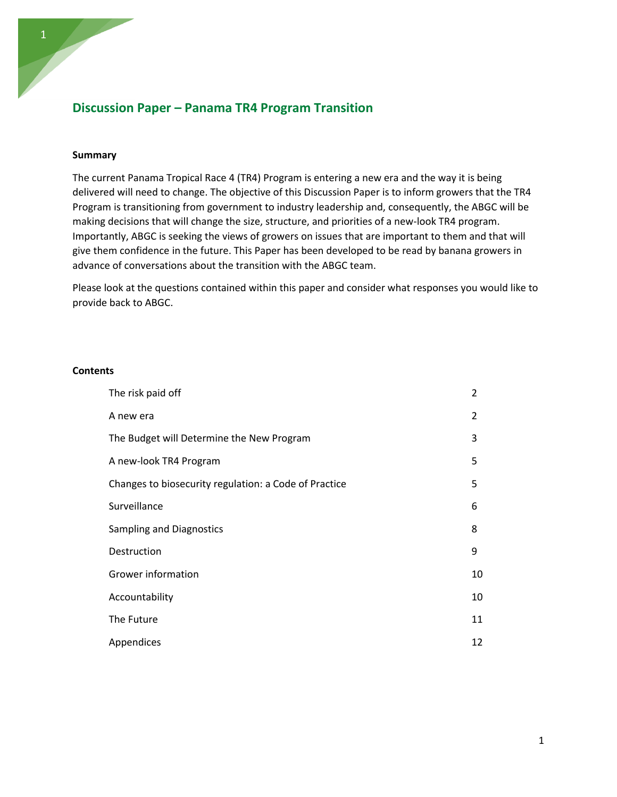# **Discussion Paper – Panama TR4 Program Transition**

# **Summary**

The current Panama Tropical Race 4 (TR4) Program is entering a new era and the way it is being delivered will need to change. The objective of this Discussion Paper is to inform growers that the TR4 Program is transitioning from government to industry leadership and, consequently, the ABGC will be making decisions that will change the size, structure, and priorities of a new-look TR4 program. Importantly, ABGC is seeking the views of growers on issues that are important to them and that will give them confidence in the future. This Paper has been developed to be read by banana growers in advance of conversations about the transition with the ABGC team.

Please look at the questions contained within this paper and consider what responses you would like to provide back to ABGC.

## **Contents**

| The risk paid off                                     | $\overline{2}$ |
|-------------------------------------------------------|----------------|
| A new era                                             | 2              |
| The Budget will Determine the New Program             | 3              |
| A new-look TR4 Program                                | 5.             |
| Changes to biosecurity regulation: a Code of Practice | 5              |
| Surveillance                                          | 6              |
| <b>Sampling and Diagnostics</b>                       | 8              |
| Destruction                                           | 9              |
| Grower information                                    | 10             |
| Accountability                                        | 10             |
| The Future                                            | 11             |
| Appendices                                            | 12             |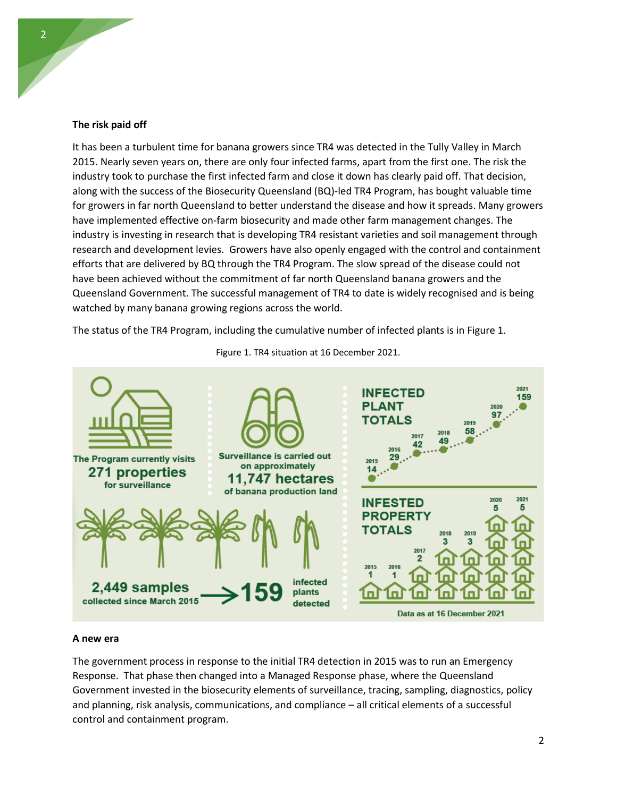#### **The risk paid off**

It has been a turbulent time for banana growers since TR4 was detected in the Tully Valley in March 2015. Nearly seven years on, there are only four infected farms, apart from the first one. The risk the industry took to purchase the first infected farm and close it down has clearly paid off. That decision, along with the success of the Biosecurity Queensland (BQ)-led TR4 Program, has bought valuable time for growers in far north Queensland to better understand the disease and how it spreads. Many growers have implemented effective on-farm biosecurity and made other farm management changes. The industry is investing in research that is developing TR4 resistant varieties and soil management through research and development levies. Growers have also openly engaged with the control and containment efforts that are delivered by BQ through the TR4 Program. The slow spread of the disease could not have been achieved without the commitment of far north Queensland banana growers and the Queensland Government. The successful management of TR4 to date is widely recognised and is being watched by many banana growing regions across the world.

The status of the TR4 Program, including the cumulative number of infected plants is in Figure 1.



Figure 1. TR4 situation at 16 December 2021.

#### **A new era**

The government process in response to the initial TR4 detection in 2015 was to run an Emergency Response. That phase then changed into a Managed Response phase, where the Queensland Government invested in the biosecurity elements of surveillance, tracing, sampling, diagnostics, policy and planning, risk analysis, communications, and compliance – all critical elements of a successful control and containment program.

2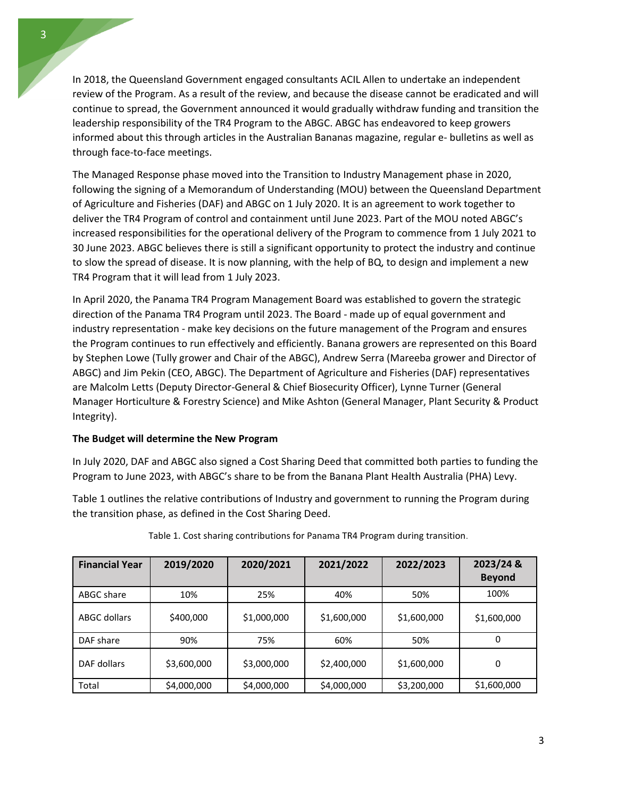In 2018, the Queensland Government engaged consultants ACIL Allen to undertake an independent review of the Program. As a result of the review, and because the disease cannot be eradicated and will continue to spread, the Government announced it would gradually withdraw funding and transition the leadership responsibility of the TR4 Program to the ABGC. ABGC has endeavored to keep growers informed about this through articles in the Australian Bananas magazine, regular e- bulletins as well as through face-to-face meetings.

The Managed Response phase moved into the Transition to Industry Management phase in 2020, following the signing of a Memorandum of Understanding (MOU) between the Queensland Department of Agriculture and Fisheries (DAF) and ABGC on 1 July 2020. It is an agreement to work together to deliver the TR4 Program of control and containment until June 2023. Part of the MOU noted ABGC's increased responsibilities for the operational delivery of the Program to commence from 1 July 2021 to 30 June 2023. ABGC believes there is still a significant opportunity to protect the industry and continue to slow the spread of disease. It is now planning, with the help of BQ, to design and implement a new TR4 Program that it will lead from 1 July 2023.

In April 2020, the Panama TR4 Program Management Board was established to govern the strategic direction of the Panama TR4 Program until 2023. The Board - made up of equal government and industry representation - make key decisions on the future management of the Program and ensures the Program continues to run effectively and efficiently. Banana growers are represented on this Board by Stephen Lowe (Tully grower and Chair of the ABGC), Andrew Serra (Mareeba grower and Director of ABGC) and Jim Pekin (CEO, ABGC). The Department of Agriculture and Fisheries (DAF) representatives are Malcolm Letts (Deputy Director-General & Chief Biosecurity Officer), Lynne Turner (General Manager Horticulture & Forestry Science) and Mike Ashton (General Manager, Plant Security & Product Integrity).

## **The Budget will determine the New Program**

In July 2020, DAF and ABGC also signed a Cost Sharing Deed that committed both parties to funding the Program to June 2023, with ABGC's share to be from the Banana Plant Health Australia (PHA) Levy.

Table 1 outlines the relative contributions of Industry and government to running the Program during the transition phase, as defined in the Cost Sharing Deed.

| <b>Financial Year</b> | 2019/2020   | 2020/2021   | 2021/2022   | 2022/2023   | 2023/24 &<br><b>Beyond</b> |
|-----------------------|-------------|-------------|-------------|-------------|----------------------------|
| ABGC share            | 10%         | 25%         | 40%         | 50%         | 100%                       |
| ABGC dollars          | \$400,000   | \$1,000,000 | \$1,600,000 | \$1,600,000 | \$1,600,000                |
| DAF share             | 90%         | 75%         | 60%         | 50%         | 0                          |
| DAF dollars           | \$3,600,000 | \$3,000,000 | \$2,400,000 | \$1,600,000 | 0                          |
| Total                 | \$4,000,000 | \$4,000,000 | \$4,000,000 | \$3,200,000 | \$1,600,000                |

Table 1. Cost sharing contributions for Panama TR4 Program during transition.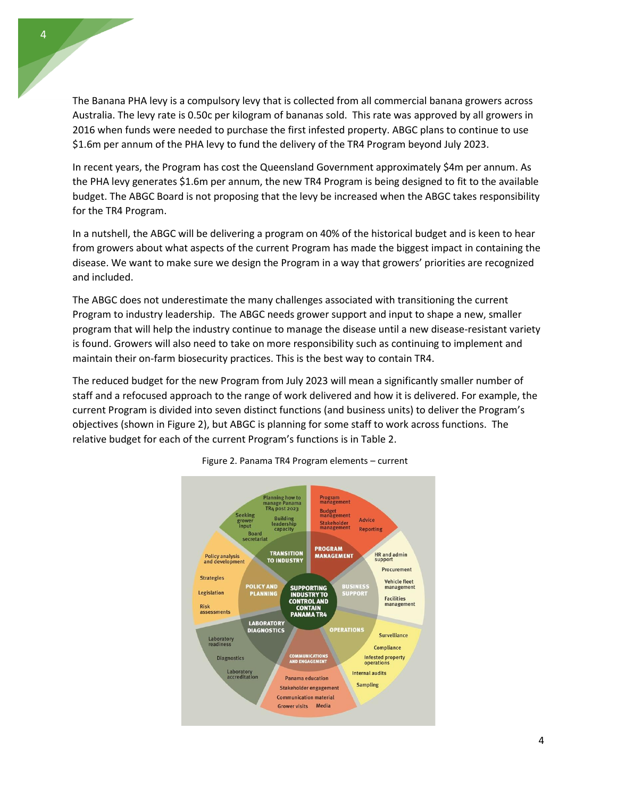The Banana PHA levy is a compulsory levy that is collected from all commercial banana growers across Australia. The levy rate is 0.50c per kilogram of bananas sold. This rate was approved by all growers in 2016 when funds were needed to purchase the first infested property. ABGC plans to continue to use \$1.6m per annum of the PHA levy to fund the delivery of the TR4 Program beyond July 2023.

In recent years, the Program has cost the Queensland Government approximately \$4m per annum. As the PHA levy generates \$1.6m per annum, the new TR4 Program is being designed to fit to the available budget. The ABGC Board is not proposing that the levy be increased when the ABGC takes responsibility for the TR4 Program.

In a nutshell, the ABGC will be delivering a program on 40% of the historical budget and is keen to hear from growers about what aspects of the current Program has made the biggest impact in containing the disease. We want to make sure we design the Program in a way that growers' priorities are recognized and included.

The ABGC does not underestimate the many challenges associated with transitioning the current Program to industry leadership. The ABGC needs grower support and input to shape a new, smaller program that will help the industry continue to manage the disease until a new disease-resistant variety is found. Growers will also need to take on more responsibility such as continuing to implement and maintain their on-farm biosecurity practices. This is the best way to contain TR4.

The reduced budget for the new Program from July 2023 will mean a significantly smaller number of staff and a refocused approach to the range of work delivered and how it is delivered. For example, the current Program is divided into seven distinct functions (and business units) to deliver the Program's objectives (shown in Figure 2), but ABGC is planning for some staff to work across functions. The relative budget for each of the current Program's functions is in Table 2.



Figure 2. Panama TR4 Program elements – current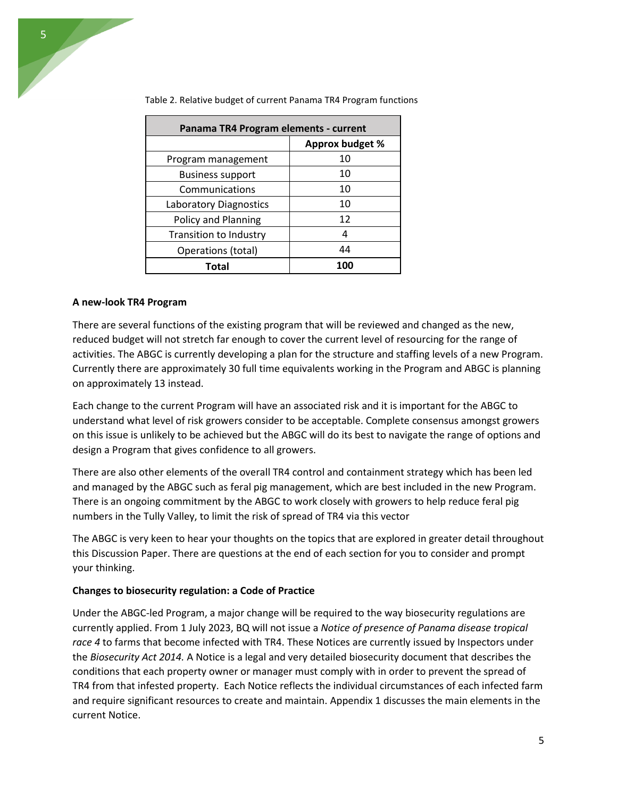| Panama TR4 Program elements - current |                 |  |  |  |
|---------------------------------------|-----------------|--|--|--|
|                                       | Approx budget % |  |  |  |
| Program management                    | 10              |  |  |  |
| <b>Business support</b>               | 10              |  |  |  |
| Communications                        | 10              |  |  |  |
| Laboratory Diagnostics                | 10              |  |  |  |
| Policy and Planning                   | 12              |  |  |  |
| <b>Transition to Industry</b>         | 4               |  |  |  |
| Operations (total)                    | 44              |  |  |  |
| Total                                 | 100             |  |  |  |

Table 2. Relative budget of current Panama TR4 Program functions

## **A new-look TR4 Program**

There are several functions of the existing program that will be reviewed and changed as the new, reduced budget will not stretch far enough to cover the current level of resourcing for the range of activities. The ABGC is currently developing a plan for the structure and staffing levels of a new Program. Currently there are approximately 30 full time equivalents working in the Program and ABGC is planning on approximately 13 instead.

Each change to the current Program will have an associated risk and it is important for the ABGC to understand what level of risk growers consider to be acceptable. Complete consensus amongst growers on this issue is unlikely to be achieved but the ABGC will do its best to navigate the range of options and design a Program that gives confidence to all growers.

There are also other elements of the overall TR4 control and containment strategy which has been led and managed by the ABGC such as feral pig management, which are best included in the new Program. There is an ongoing commitment by the ABGC to work closely with growers to help reduce feral pig numbers in the Tully Valley, to limit the risk of spread of TR4 via this vector

The ABGC is very keen to hear your thoughts on the topics that are explored in greater detail throughout this Discussion Paper. There are questions at the end of each section for you to consider and prompt your thinking.

#### **Changes to biosecurity regulation: a Code of Practice**

Under the ABGC-led Program, a major change will be required to the way biosecurity regulations are currently applied. From 1 July 2023, BQ will not issue a *Notice of presence of Panama disease tropical race 4* to farms that become infected with TR4. These Notices are currently issued by Inspectors under the *Biosecurity Act 2014.* A Notice is a legal and very detailed biosecurity document that describes the conditions that each property owner or manager must comply with in order to prevent the spread of TR4 from that infested property. Each Notice reflects the individual circumstances of each infected farm and require significant resources to create and maintain. Appendix 1 discusses the main elements in the current Notice.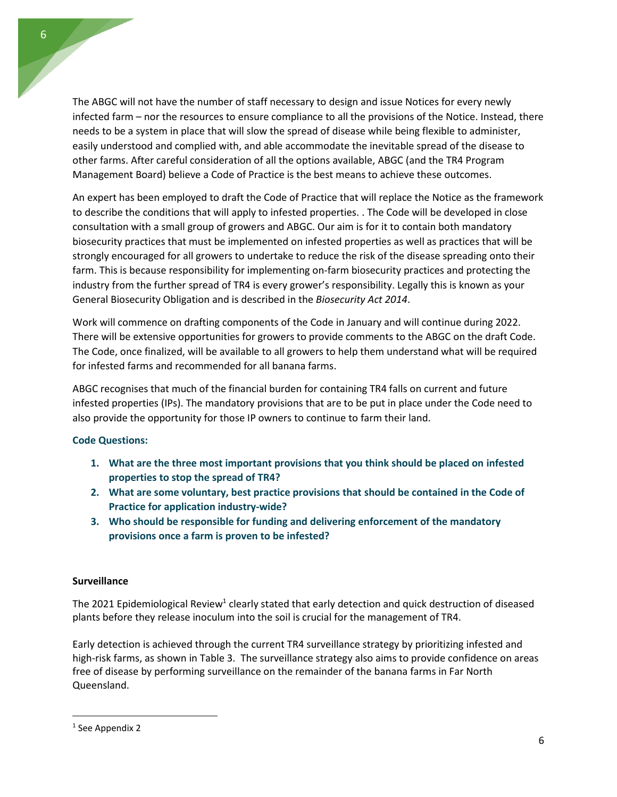The ABGC will not have the number of staff necessary to design and issue Notices for every newly infected farm – nor the resources to ensure compliance to all the provisions of the Notice. Instead, there needs to be a system in place that will slow the spread of disease while being flexible to administer, easily understood and complied with, and able accommodate the inevitable spread of the disease to other farms. After careful consideration of all the options available, ABGC (and the TR4 Program Management Board) believe a Code of Practice is the best means to achieve these outcomes.

An expert has been employed to draft the Code of Practice that will replace the Notice as the framework to describe the conditions that will apply to infested properties. . The Code will be developed in close consultation with a small group of growers and ABGC. Our aim is for it to contain both mandatory biosecurity practices that must be implemented on infested properties as well as practices that will be strongly encouraged for all growers to undertake to reduce the risk of the disease spreading onto their farm. This is because responsibility for implementing on-farm biosecurity practices and protecting the industry from the further spread of TR4 is every grower's responsibility. Legally this is known as your General Biosecurity Obligation and is described in the *Biosecurity Act 2014*.

Work will commence on drafting components of the Code in January and will continue during 2022. There will be extensive opportunities for growers to provide comments to the ABGC on the draft Code. The Code, once finalized, will be available to all growers to help them understand what will be required for infested farms and recommended for all banana farms.

ABGC recognises that much of the financial burden for containing TR4 falls on current and future infested properties (IPs). The mandatory provisions that are to be put in place under the Code need to also provide the opportunity for those IP owners to continue to farm their land.

# **Code Questions:**

- **1. What are the three most important provisions that you think should be placed on infested properties to stop the spread of TR4?**
- **2. What are some voluntary, best practice provisions that should be contained in the Code of Practice for application industry-wide?**
- **3. Who should be responsible for funding and delivering enforcement of the mandatory provisions once a farm is proven to be infested?**

# **Surveillance**

The 2021 Epidemiological Review<sup>1</sup> clearly stated that early detection and quick destruction of diseased plants before they release inoculum into the soil is crucial for the management of TR4.

Early detection is achieved through the current TR4 surveillance strategy by prioritizing infested and high-risk farms, as shown in Table 3. The surveillance strategy also aims to provide confidence on areas free of disease by performing surveillance on the remainder of the banana farms in Far North Queensland.

<sup>&</sup>lt;sup>1</sup> See Appendix 2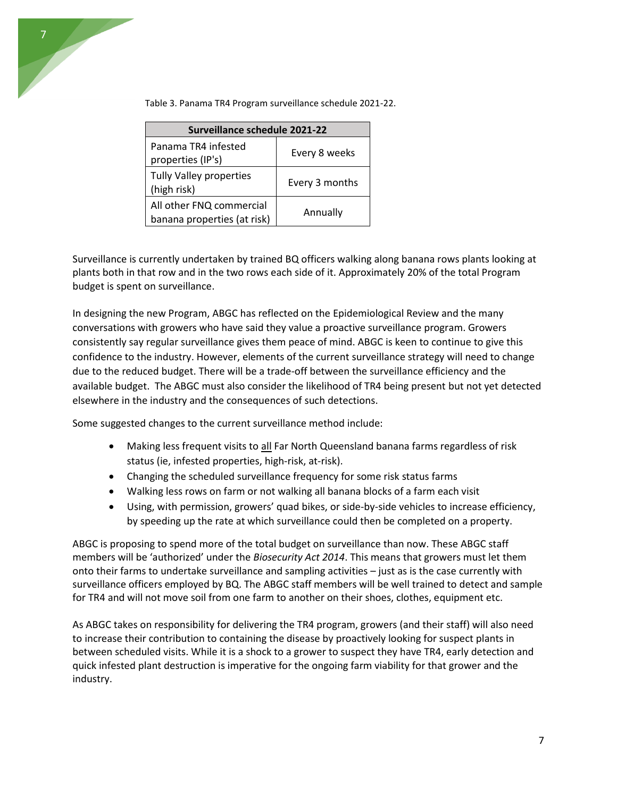

| Surveillance schedule 2021-22                           |                |  |  |  |
|---------------------------------------------------------|----------------|--|--|--|
| Panama TR4 infested<br>properties (IP's)                | Every 8 weeks  |  |  |  |
| Tully Valley properties<br>(high risk)                  | Every 3 months |  |  |  |
| All other FNQ commercial<br>banana properties (at risk) | Annually       |  |  |  |

Table 3. Panama TR4 Program surveillance schedule 2021-22.

Surveillance is currently undertaken by trained BQ officers walking along banana rows plants looking at plants both in that row and in the two rows each side of it. Approximately 20% of the total Program budget is spent on surveillance.

In designing the new Program, ABGC has reflected on the Epidemiological Review and the many conversations with growers who have said they value a proactive surveillance program. Growers consistently say regular surveillance gives them peace of mind. ABGC is keen to continue to give this confidence to the industry. However, elements of the current surveillance strategy will need to change due to the reduced budget. There will be a trade-off between the surveillance efficiency and the available budget. The ABGC must also consider the likelihood of TR4 being present but not yet detected elsewhere in the industry and the consequences of such detections.

Some suggested changes to the current surveillance method include:

- Making less frequent visits to all Far North Queensland banana farms regardless of risk status (ie, infested properties, high-risk, at-risk).
- Changing the scheduled surveillance frequency for some risk status farms
- Walking less rows on farm or not walking all banana blocks of a farm each visit
- Using, with permission, growers' quad bikes, or side-by-side vehicles to increase efficiency, by speeding up the rate at which surveillance could then be completed on a property.

ABGC is proposing to spend more of the total budget on surveillance than now. These ABGC staff members will be 'authorized' under the *Biosecurity Act 2014*. This means that growers must let them onto their farms to undertake surveillance and sampling activities – just as is the case currently with surveillance officers employed by BQ. The ABGC staff members will be well trained to detect and sample for TR4 and will not move soil from one farm to another on their shoes, clothes, equipment etc.

As ABGC takes on responsibility for delivering the TR4 program, growers (and their staff) will also need to increase their contribution to containing the disease by proactively looking for suspect plants in between scheduled visits. While it is a shock to a grower to suspect they have TR4, early detection and quick infested plant destruction is imperative for the ongoing farm viability for that grower and the industry.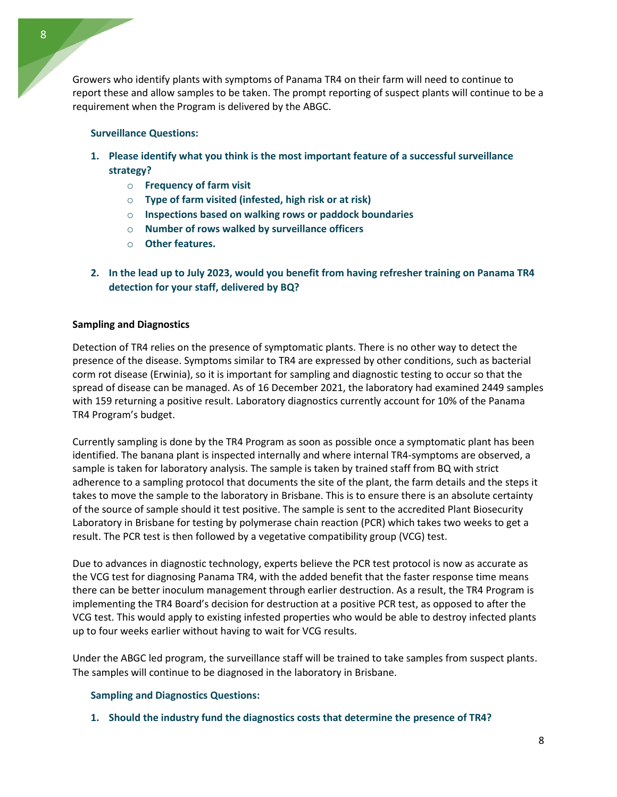8

Growers who identify plants with symptoms of Panama TR4 on their farm will need to continue to report these and allow samples to be taken. The prompt reporting of suspect plants will continue to be a requirement when the Program is delivered by the ABGC.

# **Surveillance Questions:**

- **1. Please identify what you think is the most important feature of a successful surveillance strategy?**
	- o **Frequency of farm visit**
	- o **Type of farm visited (infested, high risk or at risk)**
	- o **Inspections based on walking rows or paddock boundaries**
	- o **Number of rows walked by surveillance officers**
	- o **Other features.**
- **2. In the lead up to July 2023, would you benefit from having refresher training on Panama TR4 detection for your staff, delivered by BQ?**

# **Sampling and Diagnostics**

Detection of TR4 relies on the presence of symptomatic plants. There is no other way to detect the presence of the disease. Symptoms similar to TR4 are expressed by other conditions, such as bacterial corm rot disease (Erwinia), so it is important for sampling and diagnostic testing to occur so that the spread of disease can be managed. As of 16 December 2021, the laboratory had examined 2449 samples with 159 returning a positive result. Laboratory diagnostics currently account for 10% of the Panama TR4 Program's budget.

Currently sampling is done by the TR4 Program as soon as possible once a symptomatic plant has been identified. The banana plant is inspected internally and where internal TR4-symptoms are observed, a sample is taken for laboratory analysis. The sample is taken by trained staff from BQ with strict adherence to a sampling protocol that documents the site of the plant, the farm details and the steps it takes to move the sample to the laboratory in Brisbane. This is to ensure there is an absolute certainty of the source of sample should it test positive. The sample is sent to the accredited Plant Biosecurity Laboratory in Brisbane for testing by polymerase chain reaction (PCR) which takes two weeks to get a result. The PCR test is then followed by a vegetative compatibility group (VCG) test.

Due to advances in diagnostic technology, experts believe the PCR test protocol is now as accurate as the VCG test for diagnosing Panama TR4, with the added benefit that the faster response time means there can be better inoculum management through earlier destruction. As a result, the TR4 Program is implementing the TR4 Board's decision for destruction at a positive PCR test, as opposed to after the VCG test. This would apply to existing infested properties who would be able to destroy infected plants up to four weeks earlier without having to wait for VCG results.

Under the ABGC led program, the surveillance staff will be trained to take samples from suspect plants. The samples will continue to be diagnosed in the laboratory in Brisbane.

# **Sampling and Diagnostics Questions:**

**1. Should the industry fund the diagnostics costs that determine the presence of TR4?**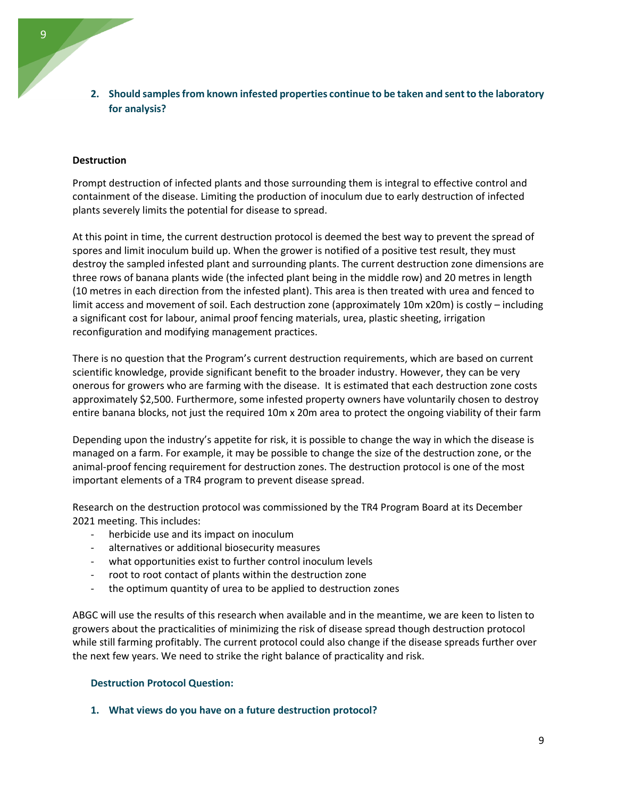# **Destruction**

Prompt destruction of infected plants and those surrounding them is integral to effective control and containment of the disease. Limiting the production of inoculum due to early destruction of infected plants severely limits the potential for disease to spread.

At this point in time, the current destruction protocol is deemed the best way to prevent the spread of spores and limit inoculum build up. When the grower is notified of a positive test result, they must destroy the sampled infested plant and surrounding plants. The current destruction zone dimensions are three rows of banana plants wide (the infected plant being in the middle row) and 20 metres in length (10 metres in each direction from the infested plant). This area is then treated with urea and fenced to limit access and movement of soil. Each destruction zone (approximately 10m x20m) is costly – including a significant cost for labour, animal proof fencing materials, urea, plastic sheeting, irrigation reconfiguration and modifying management practices.

There is no question that the Program's current destruction requirements, which are based on current scientific knowledge, provide significant benefit to the broader industry. However, they can be very onerous for growers who are farming with the disease. It is estimated that each destruction zone costs approximately \$2,500. Furthermore, some infested property owners have voluntarily chosen to destroy entire banana blocks, not just the required 10m x 20m area to protect the ongoing viability of their farm

Depending upon the industry's appetite for risk, it is possible to change the way in which the disease is managed on a farm. For example, it may be possible to change the size of the destruction zone, or the animal-proof fencing requirement for destruction zones. The destruction protocol is one of the most important elements of a TR4 program to prevent disease spread.

Research on the destruction protocol was commissioned by the TR4 Program Board at its December 2021 meeting. This includes:

- herbicide use and its impact on inoculum
- alternatives or additional biosecurity measures
- what opportunities exist to further control inoculum levels
- root to root contact of plants within the destruction zone
- the optimum quantity of urea to be applied to destruction zones

ABGC will use the results of this research when available and in the meantime, we are keen to listen to growers about the practicalities of minimizing the risk of disease spread though destruction protocol while still farming profitably. The current protocol could also change if the disease spreads further over the next few years. We need to strike the right balance of practicality and risk.

# **Destruction Protocol Question:**

**1. What views do you have on a future destruction protocol?**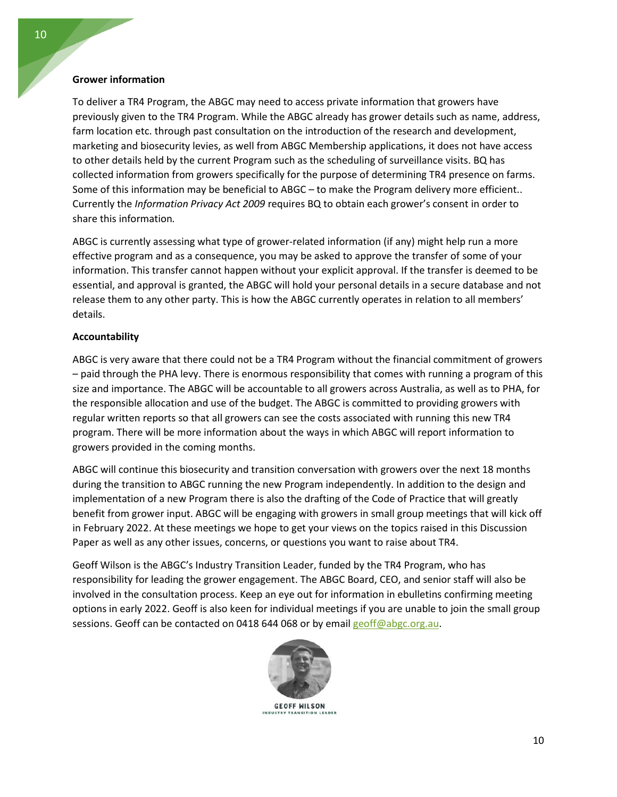## **Grower information**

To deliver a TR4 Program, the ABGC may need to access private information that growers have previously given to the TR4 Program. While the ABGC already has grower details such as name, address, farm location etc. through past consultation on the introduction of the research and development, marketing and biosecurity levies, as well from ABGC Membership applications, it does not have access to other details held by the current Program such as the scheduling of surveillance visits. BQ has collected information from growers specifically for the purpose of determining TR4 presence on farms. Some of this information may be beneficial to ABGC – to make the Program delivery more efficient.. Currently the *Information Privacy Act 2009* requires BQ to obtain each grower's consent in order to share this information*.*

ABGC is currently assessing what type of grower-related information (if any) might help run a more effective program and as a consequence, you may be asked to approve the transfer of some of your information. This transfer cannot happen without your explicit approval. If the transfer is deemed to be essential, and approval is granted, the ABGC will hold your personal details in a secure database and not release them to any other party. This is how the ABGC currently operates in relation to all members' details.

# **Accountability**

ABGC is very aware that there could not be a TR4 Program without the financial commitment of growers – paid through the PHA levy. There is enormous responsibility that comes with running a program of this size and importance. The ABGC will be accountable to all growers across Australia, as well as to PHA, for the responsible allocation and use of the budget. The ABGC is committed to providing growers with regular written reports so that all growers can see the costs associated with running this new TR4 program. There will be more information about the ways in which ABGC will report information to growers provided in the coming months.

ABGC will continue this biosecurity and transition conversation with growers over the next 18 months during the transition to ABGC running the new Program independently. In addition to the design and implementation of a new Program there is also the drafting of the Code of Practice that will greatly benefit from grower input. ABGC will be engaging with growers in small group meetings that will kick off in February 2022. At these meetings we hope to get your views on the topics raised in this Discussion Paper as well as any other issues, concerns, or questions you want to raise about TR4.

Geoff Wilson is the ABGC's Industry Transition Leader, funded by the TR4 Program, who has responsibility for leading the grower engagement. The ABGC Board, CEO, and senior staff will also be involved in the consultation process. Keep an eye out for information in ebulletins confirming meeting options in early 2022. Geoff is also keen for individual meetings if you are unable to join the small group sessions. Geoff can be contacted on 0418 644 068 or by emai[l geoff@abgc.org.au.](mailto:geoff@abgc.org.au)



**GEOFF WILSON**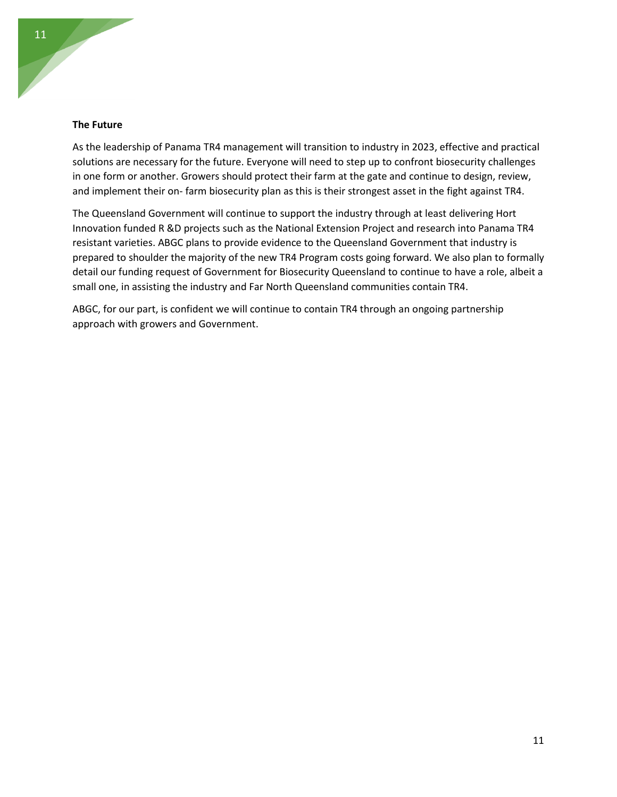#### **The Future**

As the leadership of Panama TR4 management will transition to industry in 2023, effective and practical solutions are necessary for the future. Everyone will need to step up to confront biosecurity challenges in one form or another. Growers should protect their farm at the gate and continue to design, review, and implement their on- farm biosecurity plan as this is their strongest asset in the fight against TR4.

The Queensland Government will continue to support the industry through at least delivering Hort Innovation funded R &D projects such as the National Extension Project and research into Panama TR4 resistant varieties. ABGC plans to provide evidence to the Queensland Government that industry is prepared to shoulder the majority of the new TR4 Program costs going forward. We also plan to formally detail our funding request of Government for Biosecurity Queensland to continue to have a role, albeit a small one, in assisting the industry and Far North Queensland communities contain TR4.

ABGC, for our part, is confident we will continue to contain TR4 through an ongoing partnership approach with growers and Government.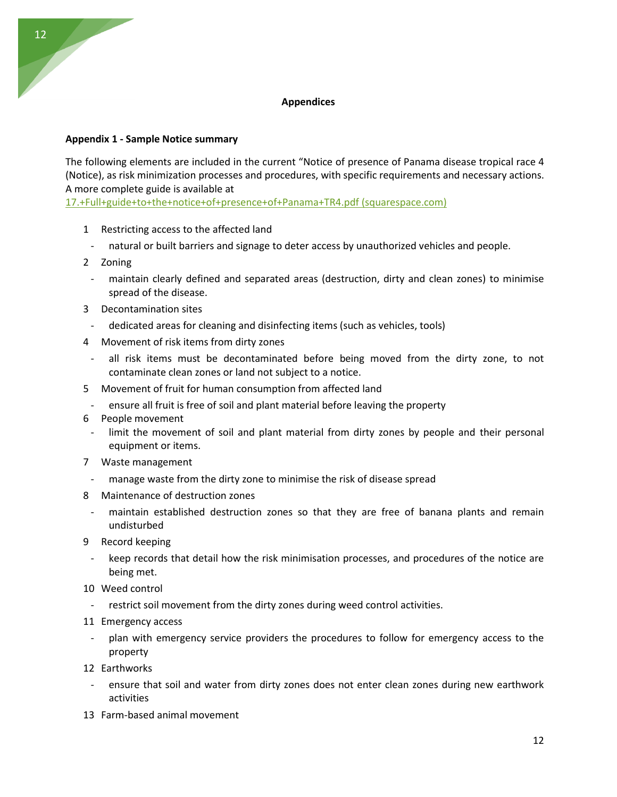# **Appendices**

# **Appendix 1 - Sample Notice summary**

The following elements are included in the current "Notice of presence of Panama disease tropical race 4 (Notice), as risk minimization processes and procedures, with specific requirements and necessary actions. A more complete guide is available at

[17.+Full+guide+to+the+notice+of+presence+of+Panama+TR4.pdf \(squarespace.com\)](https://static1.squarespace.com/static/6136ef347316ad424c802a2f/t/619b3770fb8ae64b7d5722dd/1637562225587/17.+Full+guide+to+the+notice+of+presence+of+Panama+TR4.pdf)

- 1 Restricting access to the affected land
- natural or built barriers and signage to deter access by unauthorized vehicles and people.
- 2 Zoning

12

- maintain clearly defined and separated areas (destruction, dirty and clean zones) to minimise spread of the disease.
- 3 Decontamination sites
	- dedicated areas for cleaning and disinfecting items (such as vehicles, tools)
- 4 Movement of risk items from dirty zones
	- all risk items must be decontaminated before being moved from the dirty zone, to not contaminate clean zones or land not subject to a notice.
- 5 Movement of fruit for human consumption from affected land
	- ensure all fruit is free of soil and plant material before leaving the property
- 6 People movement
	- limit the movement of soil and plant material from dirty zones by people and their personal equipment or items.
- 7 Waste management
- manage waste from the dirty zone to minimise the risk of disease spread
- 8 Maintenance of destruction zones
- maintain established destruction zones so that they are free of banana plants and remain undisturbed
- 9 Record keeping
	- keep records that detail how the risk minimisation processes, and procedures of the notice are being met.
- 10 Weed control
	- restrict soil movement from the dirty zones during weed control activities.
- 11 Emergency access
	- plan with emergency service providers the procedures to follow for emergency access to the property
- 12 Earthworks
	- ensure that soil and water from dirty zones does not enter clean zones during new earthwork activities
- 13 Farm-based animal movement